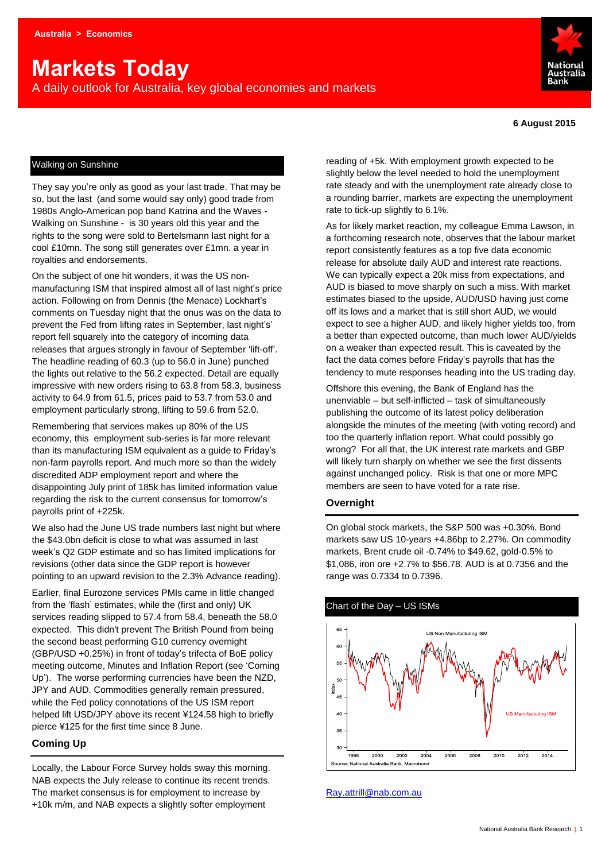## **Markets Today**

A daily outlook for Australia, key global economies and markets



#### **6 August 2015**

#### Walking on Sunshine

They say you're only as good as your last trade. That may be so, but the last (and some would say only) good trade from 1980s Anglo-American pop band Katrina and the Waves - Walking on Sunshine - is 30 years old this year and the rights to the song were sold to Bertelsmann last night for a cool £10mn. The song still generates over £1mn. a year in royalties and endorsements.

On the subject of one hit wonders, it was the US nonmanufacturing ISM that inspired almost all of last night's price action. Following on from Dennis (the Menace) Lockhart's comments on Tuesday night that the onus was on the data to prevent the Fed from lifting rates in September, last night's' report fell squarely into the category of incoming data releases that argues strongly in favour of September 'lift-off'. The headline reading of 60.3 (up to 56.0 in June) punched the lights out relative to the 56.2 expected. Detail are equally impressive with new orders rising to 63.8 from 58.3, business activity to 64.9 from 61.5, prices paid to 53.7 from 53.0 and employment particularly strong, lifting to 59.6 from 52.0.

Remembering that services makes up 80% of the US economy, this employment sub-series is far more relevant than its manufacturing ISM equivalent as a guide to Friday's non-farm payrolls report. And much more so than the widely discredited ADP employment report and where the disappointing July print of 185k has limited information value regarding the risk to the current consensus for tomorrow's payrolls print of +225k.

We also had the June US trade numbers last night but where the \$43.0bn deficit is close to what was assumed in last week's Q2 GDP estimate and so has limited implications for revisions (other data since the GDP report is however pointing to an upward revision to the 2.3% Advance reading).

Earlier, final Eurozone services PMIs came in little changed from the 'flash' estimates, while the (first and only) UK services reading slipped to 57.4 from 58.4, beneath the 58.0 expected. This didn't prevent The British Pound from being the second beast performing G10 currency overnight (GBP/USD +0.25%) in front of today's trifecta of BoE policy meeting outcome, Minutes and Inflation Report (see 'Coming Up'). The worse performing currencies have been the NZD, JPY and AUD. Commodities generally remain pressured, while the Fed policy connotations of the US ISM report helped lift USD/JPY above its recent ¥124.58 high to briefly pierce ¥125 for the first time since 8 June.

#### **Coming Up**

Locally, the Labour Force Survey holds sway this morning. NAB expects the July release to continue its recent trends. The market consensus is for employment to increase by +10k m/m, and NAB expects a slightly softer employment

reading of +5k. With employment growth expected to be slightly below the level needed to hold the unemployment rate steady and with the unemployment rate already close to a rounding barrier, markets are expecting the unemployment rate to tick-up slightly to 6.1%.

As for likely market reaction, my colleague Emma Lawson, in a forthcoming research note, observes that the labour market report consistently features as a top five data economic release for absolute daily AUD and interest rate reactions. We can typically expect a 20k miss from expectations, and AUD is biased to move sharply on such a miss. With market estimates biased to the upside, AUD/USD having just come off its lows and a market that is still short AUD, we would expect to see a higher AUD, and likely higher yields too, from a better than expected outcome, than much lower AUD/yields on a weaker than expected result. This is caveated by the fact the data comes before Friday's payrolls that has the tendency to mute responses heading into the US trading day.

Offshore this evening, the Bank of England has the unenviable – but self-inflicted – task of simultaneously publishing the outcome of its latest policy deliberation alongside the minutes of the meeting (with voting record) and too the quarterly inflation report. What could possibly go wrong? For all that, the UK interest rate markets and GBP will likely turn sharply on whether we see the first dissents against unchanged policy. Risk is that one or more MPC members are seen to have voted for a rate rise.

#### **Overnight**

On global stock markets, the S&P 500 was +0.30%. Bond markets saw US 10-years +4.86bp to 2.27%. On commodity markets, Brent crude oil -0.74% to \$49.62, gold-0.5% to \$1,086, iron ore +2.7% to \$56.78. AUD is at 0.7356 and the range was 0.7334 to 0.7396.

# Chart of the Day – US ISMs



[Ray.attrill@nab.com.au](mailto:Ray.attrill@nab.com.au)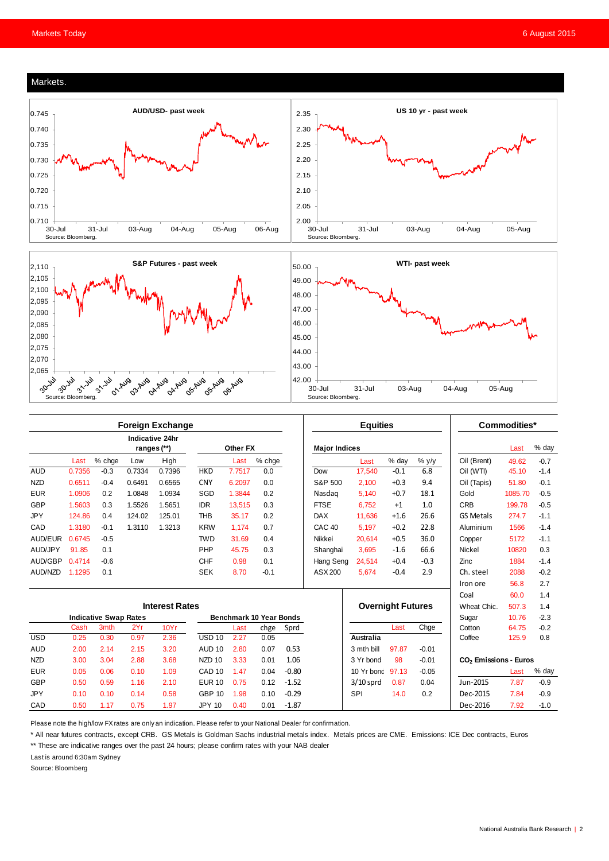







|            | <b>Foreign Exchange</b>      |        |        |                                |                                |          |        |         | <b>Equities</b>      |                          |        |         | Commodities*                      |         |        |
|------------|------------------------------|--------|--------|--------------------------------|--------------------------------|----------|--------|---------|----------------------|--------------------------|--------|---------|-----------------------------------|---------|--------|
|            |                              |        |        | Indicative 24hr<br>ranges (**) |                                | Other FX |        |         | <b>Major Indices</b> |                          |        |         |                                   | Last    | % day  |
|            | Last                         | % chge | Low    | High                           |                                | Last     | % chge |         |                      | Last                     | % day  | $%$ y/y | Oil (Brent)                       | 49.62   | $-0.7$ |
| <b>AUD</b> | 0.7356                       | $-0.3$ | 0.7334 | 0.7396                         | <b>HKD</b>                     | 7.7517   | 0.0    |         | Dow                  | 17.540                   | $-0.1$ | 6.8     | Oil (WTI)                         | 45.10   | $-1.4$ |
| <b>NZD</b> | 0.6511                       | $-0.4$ | 0.6491 | 0.6565                         | <b>CNY</b>                     | 6.2097   | 0.0    |         | S&P 500              | 2.100                    | $+0.3$ | 9.4     | Oil (Tapis)                       | 51.80   | $-0.1$ |
| <b>EUR</b> | 1.0906                       | 0.2    | 1.0848 | 1.0934                         | SGD                            | 1.3844   | 0.2    |         | Nasdag               | 5.140                    | $+0.7$ | 18.1    | Gold                              | 1085.70 | $-0.5$ |
| <b>GBP</b> | 1.5603                       | 0.3    | 1.5526 | 1.5651                         | <b>IDR</b>                     | 13.515   | 0.3    |         | <b>FTSE</b>          | 6.752                    | $+1$   | 1.0     | <b>CRB</b>                        | 199.78  | $-0.5$ |
| <b>JPY</b> | 124.86                       | 0.4    | 124.02 | 125.01                         | <b>THB</b>                     | 35.17    | 0.2    |         | <b>DAX</b>           | 11,636                   | $+1.6$ | 26.6    | <b>GS Metals</b>                  | 274.7   | $-1.1$ |
| CAD        | 1.3180                       | $-0.1$ | 1.3110 | 1.3213                         | <b>KRW</b>                     | 1.174    | 0.7    |         | CAC <sub>40</sub>    | 5.197                    | $+0.2$ | 22.8    | Aluminium                         | 1566    | $-1.4$ |
| AUD/EUR    | 0.6745                       | $-0.5$ |        |                                | <b>TWD</b>                     | 31.69    | 0.4    |         | Nikkei               | 20.614                   | $+0.5$ | 36.0    | Copper                            | 5172    | $-1.1$ |
| AUD/JPY    | 91.85                        | 0.1    |        |                                | PHP                            | 45.75    | 0.3    |         | Shanghai             | 3.695                    | $-1.6$ | 66.6    | Nickel                            | 10820   | 0.3    |
| AUD/GBP    | 0.4714                       | $-0.6$ |        |                                | <b>CHF</b>                     | 0.98     | 0.1    |         | Hang Seng            | 24,514                   | $+0.4$ | $-0.3$  | Zinc                              | 1884    | $-1.4$ |
| AUD/NZD    | 1.1295                       | 0.1    |        |                                | <b>SEK</b>                     | 8.70     | $-0.1$ |         | ASX 200              | 5,674                    | $-0.4$ | 2.9     | Ch. steel                         | 2088    | $-0.2$ |
|            |                              |        |        |                                |                                |          |        |         |                      |                          |        |         | Iron ore                          | 56.8    | 2.7    |
|            |                              |        |        |                                |                                |          |        |         |                      |                          |        |         | Coal                              | 60.0    | 1.4    |
|            | <b>Interest Rates</b>        |        |        |                                |                                |          |        |         |                      | <b>Overnight Futures</b> |        |         | Wheat Chic.                       | 507.3   | 1.4    |
|            | <b>Indicative Swap Rates</b> |        |        |                                | <b>Benchmark 10 Year Bonds</b> |          |        |         |                      |                          |        | Sugar   | 10.76                             | $-2.3$  |        |
|            | Cash                         | 3mth   | 2Yr    | 10Yr                           |                                | Last     | chge   | Sprd    |                      |                          | Last   | Chge    | Cotton                            | 64.75   | $-0.2$ |
| <b>USD</b> | 0.25                         | 0.30   | 0.97   | 2.36                           | <b>USD 10</b>                  | 2.27     | 0.05   |         |                      | Australia                |        |         | Coffee                            | 125.9   | 0.8    |
| <b>AUD</b> | 2.00                         | 2.14   | 2.15   | 3.20                           | <b>AUD 10</b>                  | 2.80     | 0.07   | 0.53    |                      | 3 mth bill               | 97.87  | $-0.01$ |                                   |         |        |
| <b>NZD</b> | 3.00                         | 3.04   | 2.88   | 3.68                           | NZD <sub>10</sub>              | 3.33     | 0.01   | 1.06    |                      | 3 Yr bond                | 98     | $-0.01$ | CO <sub>2</sub> Emissions - Euros |         |        |
| <b>EUR</b> | 0.05                         | 0.06   | 0.10   | 1.09                           | CAD <sub>10</sub>              | 1.47     | 0.04   | $-0.80$ |                      | 10 Yr bond               | 97.13  | $-0.05$ |                                   | Last    | % day  |
| <b>GBP</b> | 0.50                         | 0.59   | 1.16   | 2.10                           | <b>EUR 10</b>                  | 0.75     | 0.12   | $-1.52$ |                      | $3/10$ sprd              | 0.87   | 0.04    | Jun-2015                          | 7.87    | $-0.9$ |
| <b>JPY</b> | 0.10                         | 0.10   | 0.14   | 0.58                           | <b>GBP 10</b>                  | 1.98     | 0.10   | $-0.29$ |                      | <b>SPI</b>               | 14.0   | 0.2     | Dec-2015                          | 7.84    | $-0.9$ |
| CAD        | 0.50                         | 1.17   | 0.75   | 1.97                           | <b>JPY 10</b>                  | 0.40     | 0.01   | $-1.87$ |                      |                          |        |         | Dec-2016                          | 7.92    | $-1.0$ |

Please note the high/low FX rates are only an indication. Please refer to your National Dealer for confirmation.

\* All near futures contracts, except CRB. GS Metals is Goldman Sachs industrial metals index. Metals prices are CME. Emissions: ICE Dec contracts, Euros

\*\* These are indicative ranges over the past 24 hours; please confirm rates with your NAB dealer

Last is around 6:30am Sydney

Source: Bloomberg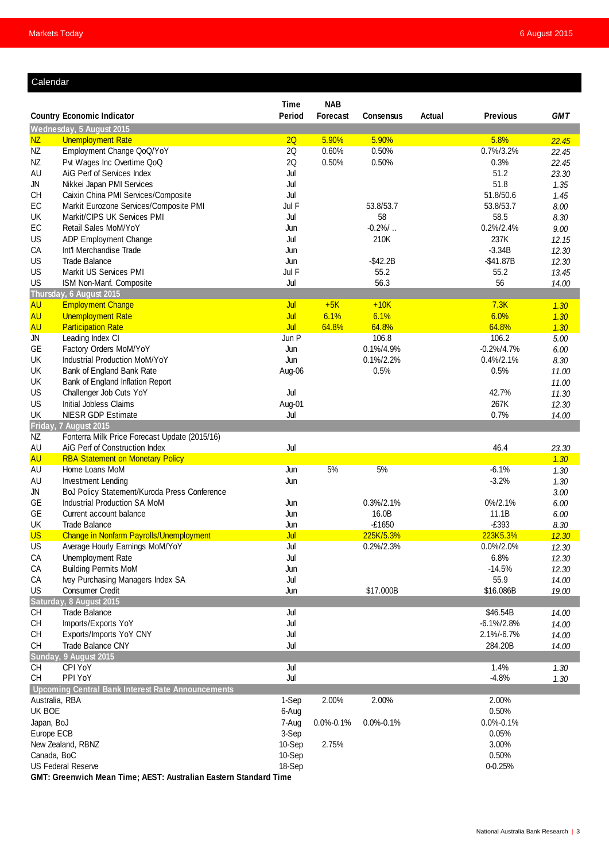#### Calendar

|                                                                                                         |                                                   | Time          | <b>NAB</b>      |                 |        |                      |                |
|---------------------------------------------------------------------------------------------------------|---------------------------------------------------|---------------|-----------------|-----------------|--------|----------------------|----------------|
|                                                                                                         | <b>Country Economic Indicator</b>                 | <b>Period</b> | <b>Forecast</b> | Consensus       | Actual | <b>Previous</b>      | <b>GMT</b>     |
|                                                                                                         | Wednesday, 5 August 2015                          |               |                 |                 |        |                      |                |
| <b>NZ</b>                                                                                               | <b>Unemployment Rate</b>                          | 2Q            | 5.90%           | 5.90%           |        | 5.8%                 | 22.45          |
| NZ                                                                                                      | Employment Change QoQ/YoY                         | 2Q            | 0.60%           | 0.50%           |        | $0.7\%/3.2\%$        | 22.45          |
| NZ                                                                                                      | Pvt Wages Inc Overtime QoQ                        | 2Q            | 0.50%           | 0.50%           |        | 0.3%                 | 22.45          |
| AU                                                                                                      | AiG Perf of Services Index                        | Jul           |                 |                 |        | 51.2                 | 23.30          |
| JN                                                                                                      | Nikkei Japan PMI Services                         | Jul           |                 |                 |        | 51.8                 | 1.35           |
| <b>CH</b>                                                                                               | Caixin China PMI Services/Composite               | Jul           |                 |                 |        | 51.8/50.6            | 1.45           |
| EC                                                                                                      | Markit Eurozone Services/Composite PMI            | Jul F         |                 | 53.8/53.7       |        | 53.8/53.7            | 8.00           |
| UK                                                                                                      | Markit/CIPS UK Services PMI                       | Jul           |                 | 58              |        | 58.5                 | 8.30           |
| EC                                                                                                      | Retail Sales MoM/YoY                              | Jun           |                 | $-0.2%/$        |        | $0.2\%/2.4\%$        | 9.00           |
| US<br>CA                                                                                                | ADP Employment Change<br>Int'l Merchandise Trade  | Jul<br>Jun    |                 | 210K            |        | 237K<br>$-3.34B$     | 12.15          |
| US                                                                                                      | <b>Trade Balance</b>                              | Jun           |                 | $-$42.2B$       |        | $-$41.87B$           | 12.30<br>12.30 |
| US                                                                                                      | Markit US Services PMI                            | Jul F         |                 | 55.2            |        | 55.2                 |                |
| US                                                                                                      | ISM Non-Manf. Composite                           | Jul           |                 | 56.3            |        | 56                   | 13.45<br>14.00 |
|                                                                                                         | Thursday, 6 August 2015                           |               |                 |                 |        |                      |                |
| <b>AU</b>                                                                                               | <b>Employment Change</b>                          | Jul           | $+5K$           | $+10K$          |        | 7.3K                 | 1.30           |
| <b>AU</b>                                                                                               | <b>Unemployment Rate</b>                          | Jul           | 6.1%            | 6.1%            |        | 6.0%                 | 1.30           |
| <b>AU</b>                                                                                               | <b>Participation Rate</b>                         | Jul           | 64.8%           | 64.8%           |        | 64.8%                | 1.30           |
| JN                                                                                                      | Leading Index CI                                  | Jun P         |                 | 106.8           |        | 106.2                | 5.00           |
| GE                                                                                                      | Factory Orders MoM/YoY                            | Jun           |                 | 0.1%/4.9%       |        | $-0.2% / 4.7%$       | 6.00           |
| UK                                                                                                      | <b>Industrial Production MoM/YoY</b>              | Jun           |                 | $0.1\%/2.2\%$   |        | $0.4\%/2.1\%$        | 8.30           |
| UK                                                                                                      | Bank of England Bank Rate                         | Aug-06        |                 | 0.5%            |        | 0.5%                 | 11.00          |
| UK                                                                                                      | Bank of England Inflation Report                  |               |                 |                 |        |                      | 11.00          |
| US                                                                                                      | Challenger Job Cuts YoY                           | Jul           |                 |                 |        | 42.7%                | 11.30          |
| US                                                                                                      | Initial Jobless Claims                            | Aug-01        |                 |                 |        | 267K                 | 12.30          |
| UK                                                                                                      | <b>NIESR GDP Estimate</b>                         | Jul           |                 |                 |        | 0.7%                 | 14.00          |
|                                                                                                         | Friday, 7 August 2015                             |               |                 |                 |        |                      |                |
| NZ                                                                                                      | Fonterra Milk Price Forecast Update (2015/16)     |               |                 |                 |        |                      |                |
| AU                                                                                                      | AiG Perf of Construction Index                    | Jul           |                 |                 |        | 46.4                 | 23.30          |
| <b>AU</b>                                                                                               | <b>RBA Statement on Monetary Policy</b>           |               |                 |                 |        |                      | 1.30           |
| AU                                                                                                      | Home Loans MoM                                    | Jun           | 5%              | 5%              |        | $-6.1%$              | 1.30           |
| AU                                                                                                      | Investment Lending                                | Jun           |                 |                 |        | $-3.2%$              | 1.30           |
| JN                                                                                                      | BoJ Policy Statement/Kuroda Press Conference      |               |                 |                 |        |                      | 3.00           |
| GE                                                                                                      | <b>Industrial Production SA MoM</b>               | Jun           |                 | $0.3\%/2.1\%$   |        | 0%/2.1%              | 6.00           |
| GE                                                                                                      | Current account balance                           | Jun           |                 | 16.0B           |        | 11.1B                | 6.00           |
| UK                                                                                                      | <b>Trade Balance</b>                              | Jun           |                 | $-£1650$        |        | $-E393$              | 8.30           |
| <b>US</b>                                                                                               | Change in Nonfarm Payrolls/Unemployment           | Jul           |                 | 225K/5.3%       |        | 223K5.3%             | 12.30          |
| US                                                                                                      | Average Hourly Earnings MoM/YoY                   | Jul           |                 | 0.2%/2.3%       |        | 0.0%/2.0%            | 12.30          |
| CА                                                                                                      | Unemployment Rate                                 | Jul           |                 |                 |        | 6.8%                 | 12.30          |
| СA                                                                                                      | <b>Building Permits MoM</b>                       | Jun           |                 |                 |        | $-14.5%$             | 12.30          |
| CA                                                                                                      | Ivey Purchasing Managers Index SA                 | Jul           |                 |                 |        | 55.9                 | 14.00          |
| US                                                                                                      | <b>Consumer Credit</b>                            | Jun           |                 | \$17.000B       |        | \$16.086B            | 19.00          |
|                                                                                                         | Saturday, 8 August 2015                           |               |                 |                 |        |                      |                |
| <b>CH</b>                                                                                               | <b>Trade Balance</b>                              | Jul           |                 |                 |        | \$46.54B             | 14.00          |
| <b>CH</b>                                                                                               | Imports/Exports YoY                               | Jul           |                 |                 |        | $-6.1\%/2.8\%$       | 14.00          |
| СH                                                                                                      | Exports/Imports YoY CNY                           | Jul           |                 |                 |        | 2.1%/-6.7%           | 14.00          |
| <b>CH</b>                                                                                               | Trade Balance CNY                                 | Jul           |                 |                 |        | 284.20B              | 14.00          |
|                                                                                                         | Sunday, 9 August 2015                             |               |                 |                 |        |                      |                |
| <b>CH</b>                                                                                               | CPI YoY                                           | Jul           |                 |                 |        | 1.4%                 | 1.30           |
| <b>CH</b>                                                                                               | PPI YoY                                           | Jul           |                 |                 |        | $-4.8%$              | 1.30           |
|                                                                                                         | Upcoming Central Bank Interest Rate Announcements |               |                 |                 |        |                      |                |
| Australia, RBA                                                                                          |                                                   | 1-Sep         | 2.00%           | 2.00%           |        | 2.00%                |                |
| UK BOE                                                                                                  |                                                   | 6-Aug         |                 |                 |        | 0.50%                |                |
| Japan, BoJ                                                                                              |                                                   | 7-Aug         | $0.0\% - 0.1\%$ | $0.0\% - 0.1\%$ |        | $0.0\% - 0.1\%$      |                |
| Europe ECB                                                                                              |                                                   | 3-Sep         |                 |                 |        | 0.05%                |                |
|                                                                                                         | New Zealand, RBNZ                                 | 10-Sep        | 2.75%           |                 |        | 3.00%                |                |
| Canada, BoC                                                                                             |                                                   | 10-Sep        |                 |                 |        | 0.50%<br>$0 - 0.25%$ |                |
| <b>US Federal Reserve</b><br>18-Sep<br>GMT: Greenwich Mean Time; AEST: Australian Eastern Standard Time |                                                   |               |                 |                 |        |                      |                |
|                                                                                                         |                                                   |               |                 |                 |        |                      |                |